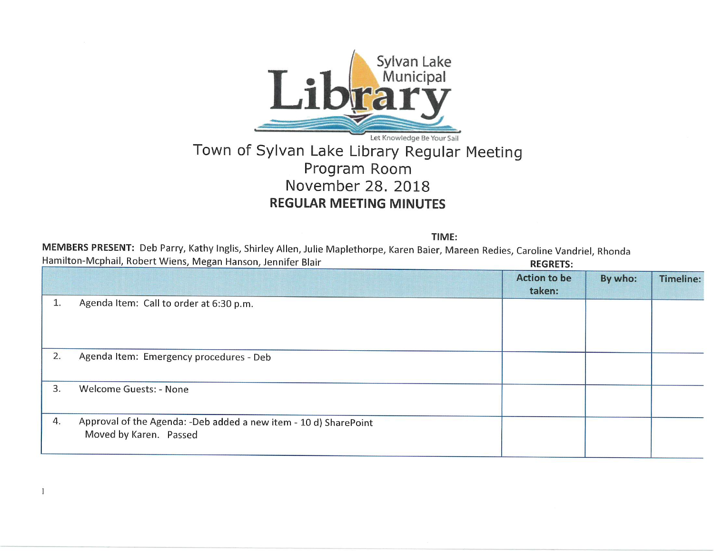

## Town of Sylvan Lake Library Regular Meeting Program Room November 28. 2018 REGULAR MEETING MINUTES

TIME:

MEMBERS PRESENT: Deb Parry, Kathy Inglis, Shirley Alien, Julie Maplethorpe, Karen Baier, Mareen Redies, Caroline Vandriel, Rhonda Hamilton-Mcphail, Robert Wiens, Megan Hanson, Jennifer Blair Regressive Communication REGRETS:

 $\mathbf{1}$ 

|    |                                                                                            | .                             |         |                  |
|----|--------------------------------------------------------------------------------------------|-------------------------------|---------|------------------|
|    |                                                                                            | <b>Action to be</b><br>taken: | By who: | <b>Timeline:</b> |
| ı. | Agenda Item: Call to order at 6:30 p.m.                                                    |                               |         |                  |
| 2. | Agenda Item: Emergency procedures - Deb                                                    |                               |         |                  |
| 3. | Welcome Guests: - None                                                                     |                               |         |                  |
| 4. | Approval of the Agenda: -Deb added a new item - 10 d) SharePoint<br>Moved by Karen. Passed |                               |         |                  |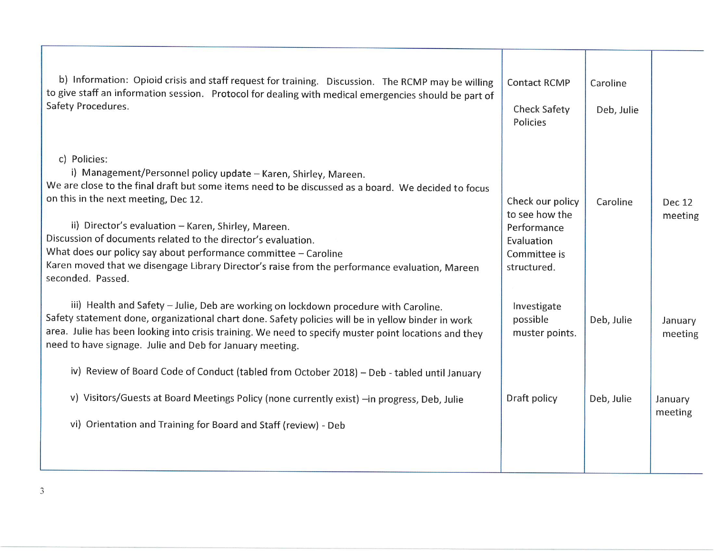| b) Information: Opioid crisis and staff request for training. Discussion. The RCMP may be willing<br>to give staff an information session. Protocol for dealing with medical emergencies should be part of<br>Safety Procedures.                                                                                                                                                                                                                                                                                                                 | <b>Contact RCMP</b><br><b>Check Safety</b><br>Policies                                         | Caroline<br>Deb, Julie |                          |
|--------------------------------------------------------------------------------------------------------------------------------------------------------------------------------------------------------------------------------------------------------------------------------------------------------------------------------------------------------------------------------------------------------------------------------------------------------------------------------------------------------------------------------------------------|------------------------------------------------------------------------------------------------|------------------------|--------------------------|
| c) Policies:<br>i) Management/Personnel policy update - Karen, Shirley, Mareen.<br>We are close to the final draft but some items need to be discussed as a board. We decided to focus<br>on this in the next meeting, Dec 12.<br>ii) Director's evaluation - Karen, Shirley, Mareen.<br>Discussion of documents related to the director's evaluation.<br>What does our policy say about performance committee - Caroline<br>Karen moved that we disengage Library Director's raise from the performance evaluation, Mareen<br>seconded. Passed. | Check our policy<br>to see how the<br>Performance<br>Evaluation<br>Committee is<br>structured. | Caroline               | <b>Dec 12</b><br>meeting |
| iii) Health and Safety - Julie, Deb are working on lockdown procedure with Caroline.<br>Safety statement done, organizational chart done. Safety policies will be in yellow binder in work<br>area. Julie has been looking into crisis training. We need to specify muster point locations and they<br>need to have signage. Julie and Deb for January meeting.                                                                                                                                                                                  | Investigate<br>possible<br>muster points.                                                      | Deb, Julie             | January<br>meeting       |
| iv) Review of Board Code of Conduct (tabled from October 2018) - Deb - tabled until January                                                                                                                                                                                                                                                                                                                                                                                                                                                      |                                                                                                |                        |                          |
| Visitors/Guests at Board Meetings Policy (none currently exist) -in progress, Deb, Julie<br>V)                                                                                                                                                                                                                                                                                                                                                                                                                                                   | Draft policy                                                                                   | Deb, Julie             | January<br>meeting       |
| vi) Orientation and Training for Board and Staff (review) - Deb                                                                                                                                                                                                                                                                                                                                                                                                                                                                                  |                                                                                                |                        |                          |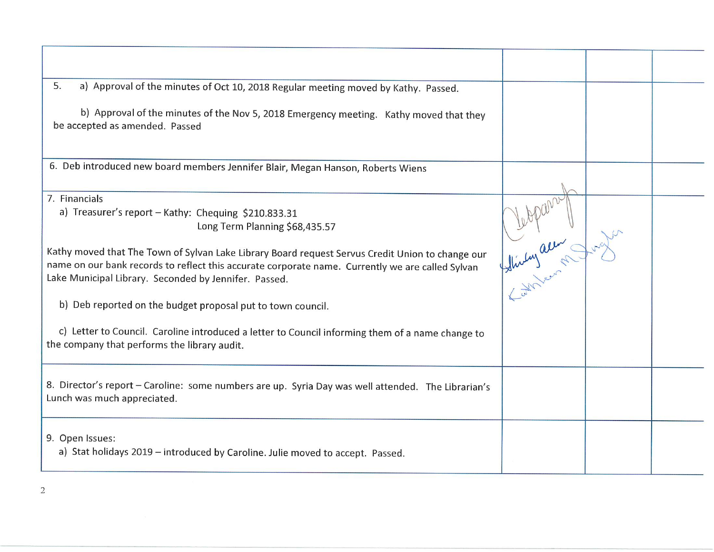| 5.<br>a) Approval of the minutes of Oct 10, 2018 Regular meeting moved by Kathy. Passed.<br>b) Approval of the minutes of the Nov 5, 2018 Emergency meeting. Kathy moved that they<br>be accepted as amended. Passed                                                                                                                                                                                                                                                                                                                                                                        |              |  |
|---------------------------------------------------------------------------------------------------------------------------------------------------------------------------------------------------------------------------------------------------------------------------------------------------------------------------------------------------------------------------------------------------------------------------------------------------------------------------------------------------------------------------------------------------------------------------------------------|--------------|--|
| 6. Deb introduced new board members Jennifer Blair, Megan Hanson, Roberts Wiens                                                                                                                                                                                                                                                                                                                                                                                                                                                                                                             |              |  |
| 7. Financials<br>a) Treasurer's report - Kathy: Chequing \$210.833.31<br>Long Term Planning \$68,435.57<br>Kathy moved that The Town of Sylvan Lake Library Board request Servus Credit Union to change our<br>name on our bank records to reflect this accurate corporate name. Currently we are called Sylvan<br>Lake Municipal Library. Seconded by Jennifer. Passed.<br>b) Deb reported on the budget proposal put to town council.<br>c) Letter to Council. Caroline introduced a letter to Council informing them of a name change to<br>the company that performs the library audit. | Shirty acres |  |
| 8. Director's report - Caroline: some numbers are up. Syria Day was well attended. The Librarian's<br>Lunch was much appreciated.                                                                                                                                                                                                                                                                                                                                                                                                                                                           |              |  |
| 9. Open Issues:<br>a) Stat holidays 2019 - introduced by Caroline. Julie moved to accept. Passed.                                                                                                                                                                                                                                                                                                                                                                                                                                                                                           |              |  |